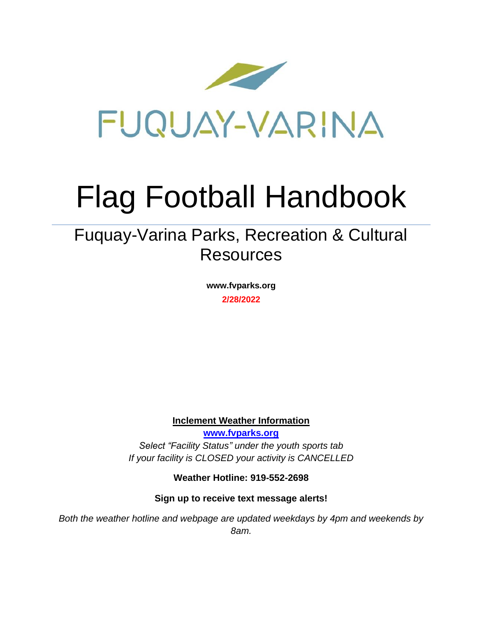

# Flag Football Handbook

# Fuquay-Varina Parks, Recreation & Cultural **Resources**

**www.fvparks.org 2/28/2022**

**Inclement Weather Information**

**[www.fvparks.org](http://www.fvparks.org/)** *Select "Facility Status" under the youth sports tab If your facility is CLOSED your activity is CANCELLED*

**Weather Hotline: 919-552-2698**

**Sign up to receive text message alerts!**

*Both the weather hotline and webpage are updated weekdays by 4pm and weekends by 8am.*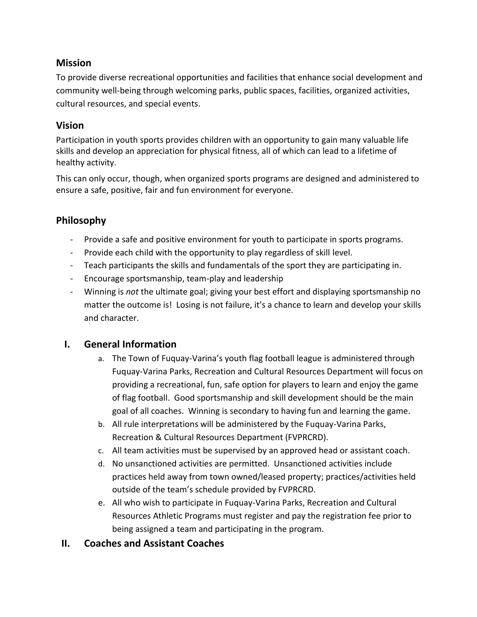# **Mission**

To provide diverse recreational opportunities and facilities that enhance social development and community well-being through welcoming parks, public spaces, facilities, organized activities, cultural resources, and special events.

# **Vision**

Participation in youth sports provides children with an opportunity to gain many valuable life skills and develop an appreciation for physical fitness, all of which can lead to a lifetime of healthy activity.

This can only occur, though, when organized sports programs are designed and administered to ensure a safe, positive, fair and fun environment for everyone.

# **Philosophy**

- Provide a safe and positive environment for youth to participate in sports programs.
- Provide each child with the opportunity to play regardless of skill level.
- Teach participants the skills and fundamentals of the sport they are participating in.
- Encourage sportsmanship, team-play and leadership
- Winning is *not* the ultimate goal; giving your best effort and displaying sportsmanship no matter the outcome is! Losing is not failure, it's a chance to learn and develop your skills and character.

# **I. General Information**

- a. The Town of Fuquay-Varina's youth flag football league is administered through Fuquay-Varina Parks, Recreation and Cultural Resources Department will focus on providing a recreational, fun, safe option for players to learn and enjoy the game of flag football. Good sportsmanship and skill development should be the main goal of all coaches. Winning is secondary to having fun and learning the game.
- b. All rule interpretations will be administered by the Fuquay-Varina Parks, Recreation & Cultural Resources Department (FVPRCRD).
- c. All team activities must be supervised by an approved head or assistant coach.
- d. No unsanctioned activities are permitted. Unsanctioned activities include practices held away from town owned/leased property; practices/activities held outside of the team's schedule provided by FVPRCRD.
- e. All who wish to participate in Fuquay-Varina Parks, Recreation and Cultural Resources Athletic Programs must register and pay the registration fee prior to being assigned a team and participating in the program.

# **II. Coaches and Assistant Coaches**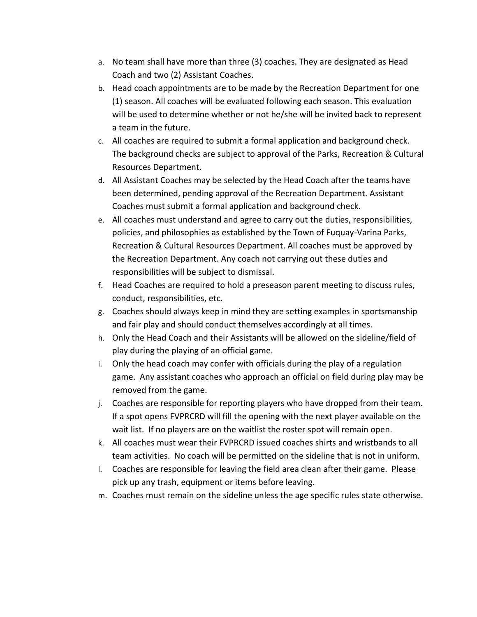- a. No team shall have more than three (3) coaches. They are designated as Head Coach and two (2) Assistant Coaches.
- b. Head coach appointments are to be made by the Recreation Department for one (1) season. All coaches will be evaluated following each season. This evaluation will be used to determine whether or not he/she will be invited back to represent a team in the future.
- c. All coaches are required to submit a formal application and background check. The background checks are subject to approval of the Parks, Recreation & Cultural Resources Department.
- d. All Assistant Coaches may be selected by the Head Coach after the teams have been determined, pending approval of the Recreation Department. Assistant Coaches must submit a formal application and background check.
- e. All coaches must understand and agree to carry out the duties, responsibilities, policies, and philosophies as established by the Town of Fuquay-Varina Parks, Recreation & Cultural Resources Department. All coaches must be approved by the Recreation Department. Any coach not carrying out these duties and responsibilities will be subject to dismissal.
- f. Head Coaches are required to hold a preseason parent meeting to discuss rules, conduct, responsibilities, etc.
- g. Coaches should always keep in mind they are setting examples in sportsmanship and fair play and should conduct themselves accordingly at all times.
- h. Only the Head Coach and their Assistants will be allowed on the sideline/field of play during the playing of an official game.
- i. Only the head coach may confer with officials during the play of a regulation game. Any assistant coaches who approach an official on field during play may be removed from the game.
- j. Coaches are responsible for reporting players who have dropped from their team. If a spot opens FVPRCRD will fill the opening with the next player available on the wait list. If no players are on the waitlist the roster spot will remain open.
- k. All coaches must wear their FVPRCRD issued coaches shirts and wristbands to all team activities. No coach will be permitted on the sideline that is not in uniform.
- l. Coaches are responsible for leaving the field area clean after their game. Please pick up any trash, equipment or items before leaving.
- m. Coaches must remain on the sideline unless the age specific rules state otherwise.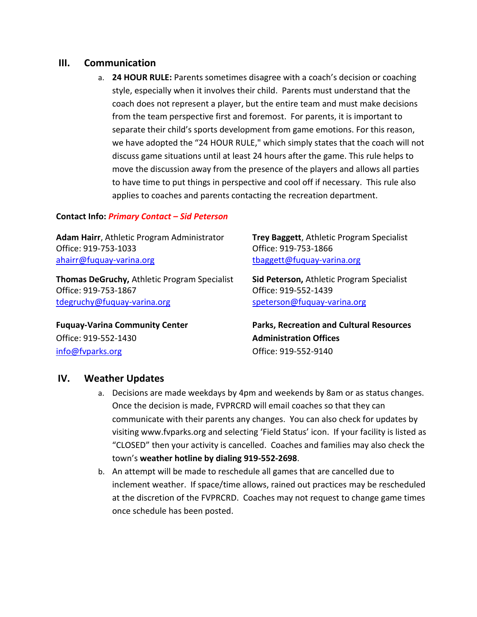#### **III. Communication**

a. **24 HOUR RULE:** Parents sometimes disagree with a coach's decision or coaching style, especially when it involves their child. Parents must understand that the coach does not represent a player, but the entire team and must make decisions from the team perspective first and foremost. For parents, it is important to separate their child's sports development from game emotions. For this reason, we have adopted the "24 HOUR RULE," which simply states that the coach will not discuss game situations until at least 24 hours after the game. This rule helps to move the discussion away from the presence of the players and allows all parties to have time to put things in perspective and cool off if necessary. This rule also applies to coaches and parents contacting the recreation department.

#### **Contact Info:** *Primary Contact – Sid Peterson*

**Adam Hairr**, Athletic Program Administrator **Trey Baggett**, Athletic Program Specialist Office: 919-753-1033 Office: 919-753-1866 [ahairr@fuquay-varina.org](mailto:ahairr@fuquay-varina.org) that the understanding the set of the set of the set of the set of the set of the set o

**Thomas DeGruchy,** Athletic Program Specialist **Sid Peterson,** Athletic Program Specialist Office: 919-753-1867 Office: 919-552-1439 [tdegruchy@fuquay-varina.org](mailto:tdegruchy@fuquay-varina.org) [speterson@fuquay-varina.org](mailto:speterson@fuquay-varina.org)

Office: 919-552-1430 **Administration Offices** [info@fvparks.org](mailto:info@fvparks.org) Office: 919-552-9140

**Fuquay-Varina Community Center Parks, Recreation and Cultural Resources**

# **IV. Weather Updates**

- a. Decisions are made weekdays by 4pm and weekends by 8am or as status changes. Once the decision is made, FVPRCRD will email coaches so that they can communicate with their parents any changes. You can also check for updates by visiting www.fvparks.org and selecting 'Field Status' icon. If your facility is listed as "CLOSED" then your activity is cancelled. Coaches and families may also check the town's **weather hotline by dialing 919-552-2698**.
- b. An attempt will be made to reschedule all games that are cancelled due to inclement weather. If space/time allows, rained out practices may be rescheduled at the discretion of the FVPRCRD. Coaches may not request to change game times once schedule has been posted.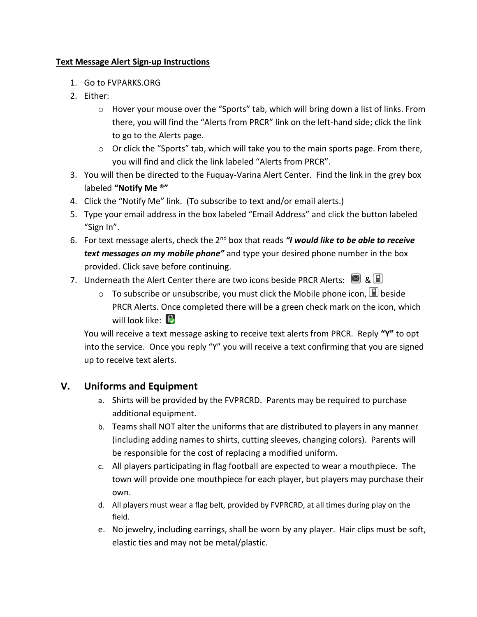#### **Text Message Alert Sign-up Instructions**

- 1. Go to FVPARKS.ORG
- 2. Either:
	- $\circ$  Hover your mouse over the "Sports" tab, which will bring down a list of links. From there, you will find the "Alerts from PRCR" link on the left-hand side; click the link to go to the Alerts page.
	- o Or click the "Sports" tab, which will take you to the main sports page. From there, you will find and click the link labeled "Alerts from PRCR".
- 3. You will then be directed to the Fuquay-Varina Alert Center. Find the link in the grey box labeled **"Notify Me ®"**
- 4. Click the "Notify Me" link. (To subscribe to text and/or email alerts.)
- 5. Type your email address in the box labeled "Email Address" and click the button labeled "Sign In".
- 6. For text message alerts, check the 2nd box that reads *"I would like to be able to receive text messages on my mobile phone"* and type your desired phone number in the box provided. Click save before continuing.
- 7. Underneath the Alert Center there are two icons beside PRCR Alerts:  $\blacksquare$  &  $\blacksquare$ 
	- $\circ$  To subscribe or unsubscribe, you must click the Mobile phone icon,  $\Box$  beside PRCR Alerts. Once completed there will be a green check mark on the icon, which will look like:  $\Box$

You will receive a text message asking to receive text alerts from PRCR. Reply **"Y"** to opt into the service. Once you reply "Y" you will receive a text confirming that you are signed up to receive text alerts.

# **V. Uniforms and Equipment**

- a. Shirts will be provided by the FVPRCRD. Parents may be required to purchase additional equipment.
- b. Teams shall NOT alter the uniforms that are distributed to players in any manner (including adding names to shirts, cutting sleeves, changing colors). Parents will be responsible for the cost of replacing a modified uniform.
- c. All players participating in flag football are expected to wear a mouthpiece. The town will provide one mouthpiece for each player, but players may purchase their own.
- d. All players must wear a flag belt, provided by FVPRCRD, at all times during play on the field.
- e. No jewelry, including earrings, shall be worn by any player. Hair clips must be soft, elastic ties and may not be metal/plastic.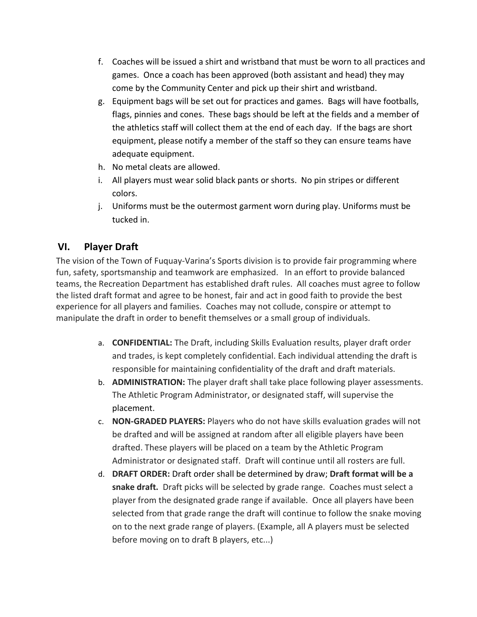- f. Coaches will be issued a shirt and wristband that must be worn to all practices and games. Once a coach has been approved (both assistant and head) they may come by the Community Center and pick up their shirt and wristband.
- g. Equipment bags will be set out for practices and games. Bags will have footballs, flags, pinnies and cones. These bags should be left at the fields and a member of the athletics staff will collect them at the end of each day. If the bags are short equipment, please notify a member of the staff so they can ensure teams have adequate equipment.
- h. No metal cleats are allowed.
- i. All players must wear solid black pants or shorts. No pin stripes or different colors.
- j. Uniforms must be the outermost garment worn during play. Uniforms must be tucked in.

# **VI. Player Draft**

The vision of the Town of Fuquay-Varina's Sports division is to provide fair programming where fun, safety, sportsmanship and teamwork are emphasized. In an effort to provide balanced teams, the Recreation Department has established draft rules. All coaches must agree to follow the listed draft format and agree to be honest, fair and act in good faith to provide the best experience for all players and families. Coaches may not collude, conspire or attempt to manipulate the draft in order to benefit themselves or a small group of individuals.

- a. **CONFIDENTIAL:** The Draft, including Skills Evaluation results, player draft order and trades, is kept completely confidential. Each individual attending the draft is responsible for maintaining confidentiality of the draft and draft materials.
- b. **ADMINISTRATION:** The player draft shall take place following player assessments. The Athletic Program Administrator, or designated staff, will supervise the placement.
- c. **NON-GRADED PLAYERS:** Players who do not have skills evaluation grades will not be drafted and will be assigned at random after all eligible players have been drafted. These players will be placed on a team by the Athletic Program Administrator or designated staff. Draft will continue until all rosters are full.
- d. **DRAFT ORDER:** Draft order shall be determined by draw; **Draft format will be a snake draft.** Draft picks will be selected by grade range. Coaches must select a player from the designated grade range if available. Once all players have been selected from that grade range the draft will continue to follow the snake moving on to the next grade range of players. (Example, all A players must be selected before moving on to draft B players, etc...)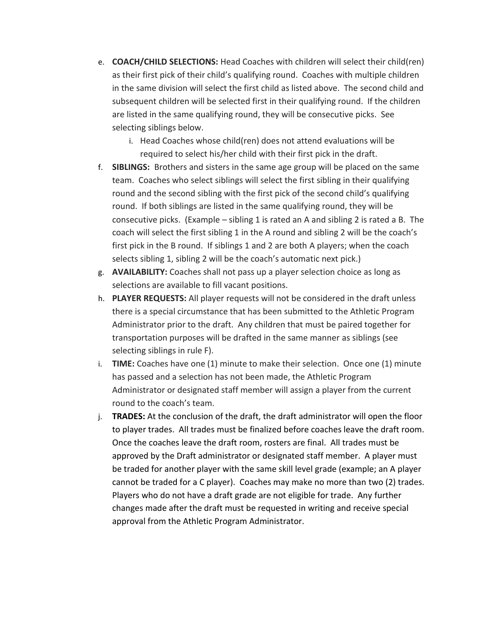- e. **COACH/CHILD SELECTIONS:** Head Coaches with children will select their child(ren) as their first pick of their child's qualifying round. Coaches with multiple children in the same division will select the first child as listed above. The second child and subsequent children will be selected first in their qualifying round. If the children are listed in the same qualifying round, they will be consecutive picks. See selecting siblings below.
	- i. Head Coaches whose child(ren) does not attend evaluations will be required to select his/her child with their first pick in the draft.
- f. **SIBLINGS:** Brothers and sisters in the same age group will be placed on the same team. Coaches who select siblings will select the first sibling in their qualifying round and the second sibling with the first pick of the second child's qualifying round. If both siblings are listed in the same qualifying round, they will be consecutive picks. (Example – sibling 1 is rated an A and sibling 2 is rated a B. The coach will select the first sibling 1 in the A round and sibling 2 will be the coach's first pick in the B round. If siblings 1 and 2 are both A players; when the coach selects sibling 1, sibling 2 will be the coach's automatic next pick.)
- g. **AVAILABILITY:** Coaches shall not pass up a player selection choice as long as selections are available to fill vacant positions.
- h. **PLAYER REQUESTS:** All player requests will not be considered in the draft unless there is a special circumstance that has been submitted to the Athletic Program Administrator prior to the draft. Any children that must be paired together for transportation purposes will be drafted in the same manner as siblings (see selecting siblings in rule F).
- i. **TIME:** Coaches have one (1) minute to make their selection. Once one (1) minute has passed and a selection has not been made, the Athletic Program Administrator or designated staff member will assign a player from the current round to the coach's team.
- j. **TRADES:** At the conclusion of the draft, the draft administrator will open the floor to player trades. All trades must be finalized before coaches leave the draft room. Once the coaches leave the draft room, rosters are final. All trades must be approved by the Draft administrator or designated staff member. A player must be traded for another player with the same skill level grade (example; an A player cannot be traded for a C player). Coaches may make no more than two (2) trades. Players who do not have a draft grade are not eligible for trade. Any further changes made after the draft must be requested in writing and receive special approval from the Athletic Program Administrator.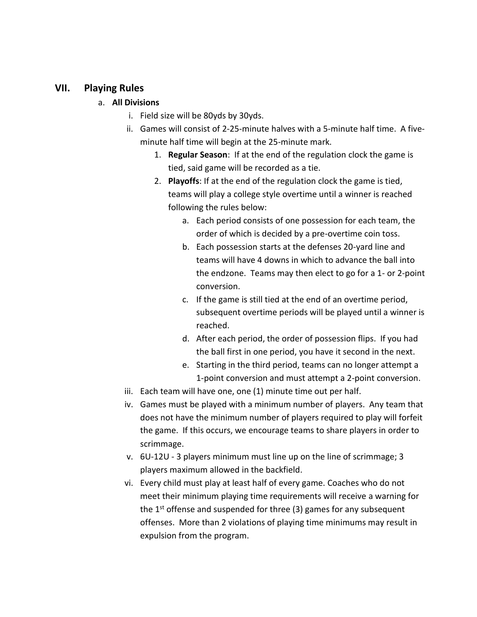#### **VII. Playing Rules**

#### a. **All Divisions**

- i. Field size will be 80yds by 30yds.
- ii. Games will consist of 2-25-minute halves with a 5-minute half time. A fiveminute half time will begin at the 25-minute mark.
	- 1. **Regular Season**: If at the end of the regulation clock the game is tied, said game will be recorded as a tie.
	- 2. **Playoffs**: If at the end of the regulation clock the game is tied, teams will play a college style overtime until a winner is reached following the rules below:
		- a. Each period consists of one possession for each team, the order of which is decided by a pre-overtime coin toss.
		- b. Each possession starts at the defenses 20-yard line and teams will have 4 downs in which to advance the ball into the endzone. Teams may then elect to go for a 1- or 2-point conversion.
		- c. If the game is still tied at the end of an overtime period, subsequent overtime periods will be played until a winner is reached.
		- d. After each period, the order of possession flips. If you had the ball first in one period, you have it second in the next.
		- e. Starting in the third period, teams can no longer attempt a 1-point conversion and must attempt a 2-point conversion.
- iii. Each team will have one, one (1) minute time out per half.
- iv. Games must be played with a minimum number of players. Any team that does not have the minimum number of players required to play will forfeit the game. If this occurs, we encourage teams to share players in order to scrimmage.
- v. 6U-12U 3 players minimum must line up on the line of scrimmage; 3 players maximum allowed in the backfield.
- vi. Every child must play at least half of every game. Coaches who do not meet their minimum playing time requirements will receive a warning for the  $1<sup>st</sup>$  offense and suspended for three (3) games for any subsequent offenses. More than 2 violations of playing time minimums may result in expulsion from the program.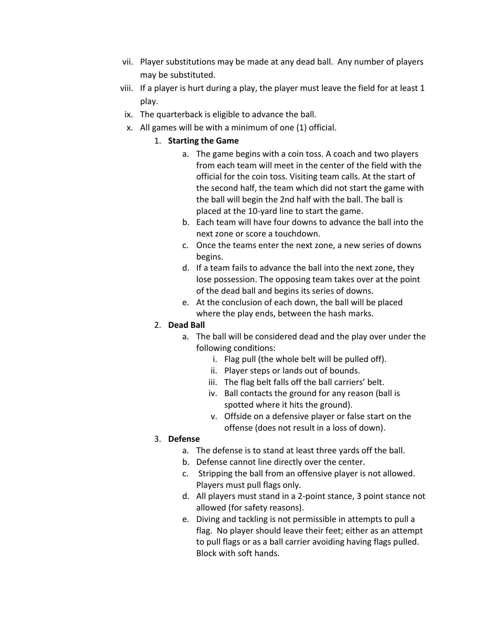- vii. Player substitutions may be made at any dead ball. Any number of players may be substituted.
- viii. If a player is hurt during a play, the player must leave the field for at least 1 play.
- ix. The quarterback is eligible to advance the ball.
- x. All games will be with a minimum of one (1) official.

#### 1. **Starting the Game**

- a. The game begins with a coin toss. A coach and two players from each team will meet in the center of the field with the official for the coin toss. Visiting team calls. At the start of the second half, the team which did not start the game with the ball will begin the 2nd half with the ball. The ball is placed at the 10-yard line to start the game.
- b. Each team will have four downs to advance the ball into the next zone or score a touchdown.
- c. Once the teams enter the next zone, a new series of downs begins.
- d. If a team fails to advance the ball into the next zone, they lose possession. The opposing team takes over at the point of the dead ball and begins its series of downs.
- e. At the conclusion of each down, the ball will be placed where the play ends, between the hash marks.

#### 2. **Dead Ball**

- a. The ball will be considered dead and the play over under the following conditions:
	- i. Flag pull (the whole belt will be pulled off).
	- ii. Player steps or lands out of bounds.
	- iii. The flag belt falls off the ball carriers' belt.
	- iv. Ball contacts the ground for any reason (ball is spotted where it hits the ground).
	- v. Offside on a defensive player or false start on the offense (does not result in a loss of down).

# 3. **Defense**

- a. The defense is to stand at least three yards off the ball.
- b. Defense cannot line directly over the center.
- c. Stripping the ball from an offensive player is not allowed. Players must pull flags only.
- d. All players must stand in a 2-point stance, 3 point stance not allowed (for safety reasons).
- e. Diving and tackling is not permissible in attempts to pull a flag. No player should leave their feet; either as an attempt to pull flags or as a ball carrier avoiding having flags pulled. Block with soft hands.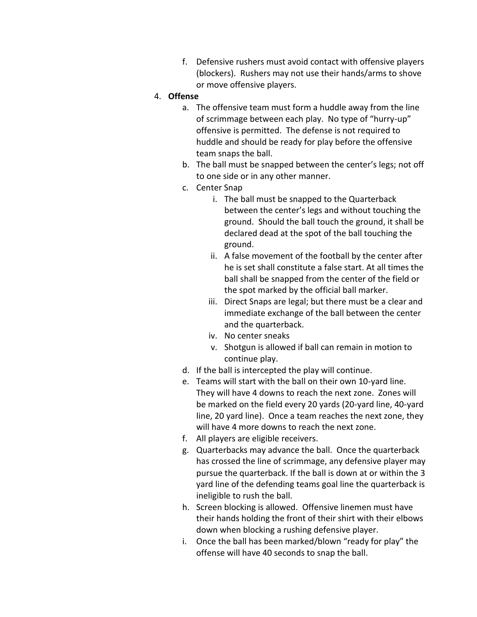f. Defensive rushers must avoid contact with offensive players (blockers). Rushers may not use their hands/arms to shove or move offensive players.

#### 4. **Offense**

- a. The offensive team must form a huddle away from the line of scrimmage between each play. No type of "hurry-up" offensive is permitted. The defense is not required to huddle and should be ready for play before the offensive team snaps the ball.
- b. The ball must be snapped between the center's legs; not off to one side or in any other manner.
- c. Center Snap
	- i. The ball must be snapped to the Quarterback between the center's legs and without touching the ground. Should the ball touch the ground, it shall be declared dead at the spot of the ball touching the ground.
	- ii. A false movement of the football by the center after he is set shall constitute a false start. At all times the ball shall be snapped from the center of the field or the spot marked by the official ball marker.
	- iii. Direct Snaps are legal; but there must be a clear and immediate exchange of the ball between the center and the quarterback.
	- iv. No center sneaks
	- v. Shotgun is allowed if ball can remain in motion to continue play.
- d. If the ball is intercepted the play will continue.
- e. Teams will start with the ball on their own 10-yard line. They will have 4 downs to reach the next zone. Zones will be marked on the field every 20 yards (20-yard line, 40-yard line, 20 yard line). Once a team reaches the next zone, they will have 4 more downs to reach the next zone.
- f. All players are eligible receivers.
- g. Quarterbacks may advance the ball. Once the quarterback has crossed the line of scrimmage, any defensive player may pursue the quarterback. If the ball is down at or within the 3 yard line of the defending teams goal line the quarterback is ineligible to rush the ball.
- h. Screen blocking is allowed. Offensive linemen must have their hands holding the front of their shirt with their elbows down when blocking a rushing defensive player.
- i. Once the ball has been marked/blown "ready for play" the offense will have 40 seconds to snap the ball.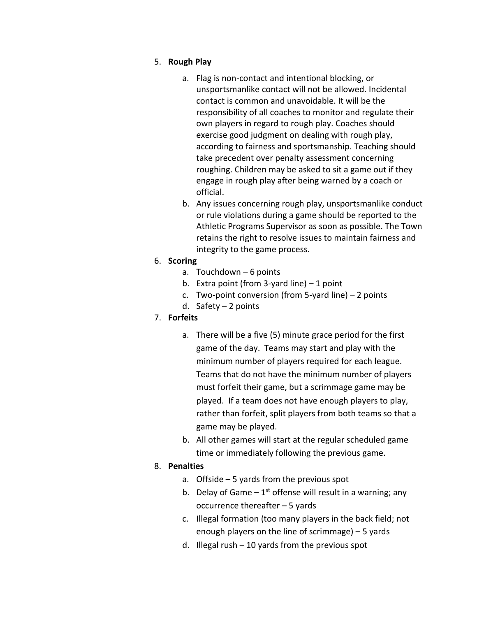#### 5. **Rough Play**

- a. Flag is non-contact and intentional blocking, or unsportsmanlike contact will not be allowed. Incidental contact is common and unavoidable. It will be the responsibility of all coaches to monitor and regulate their own players in regard to rough play. Coaches should exercise good judgment on dealing with rough play, according to fairness and sportsmanship. Teaching should take precedent over penalty assessment concerning roughing. Children may be asked to sit a game out if they engage in rough play after being warned by a coach or official.
- b. Any issues concerning rough play, unsportsmanlike conduct or rule violations during a game should be reported to the Athletic Programs Supervisor as soon as possible. The Town retains the right to resolve issues to maintain fairness and integrity to the game process.

#### 6. **Scoring**

- a. Touchdown 6 points
- b. Extra point (from  $3$ -yard line)  $-1$  point
- c. Two-point conversion (from 5-yard line) 2 points
- d. Safety 2 points

# 7. **Forfeits**

- a. There will be a five (5) minute grace period for the first game of the day. Teams may start and play with the minimum number of players required for each league. Teams that do not have the minimum number of players must forfeit their game, but a scrimmage game may be played. If a team does not have enough players to play, rather than forfeit, split players from both teams so that a game may be played.
- b. All other games will start at the regular scheduled game time or immediately following the previous game.

# 8. **Penalties**

- a. Offside 5 yards from the previous spot
- b. Delay of Game  $-1^{st}$  offense will result in a warning; any occurrence thereafter – 5 yards
- c. Illegal formation (too many players in the back field; not enough players on the line of scrimmage) – 5 yards
- d. Illegal rush 10 yards from the previous spot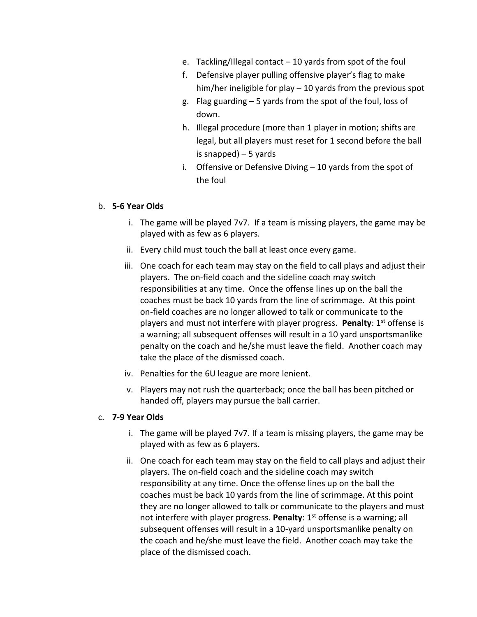- e. Tackling/Illegal contact 10 yards from spot of the foul
- f. Defensive player pulling offensive player's flag to make him/her ineligible for play – 10 yards from the previous spot
- g. Flag guarding 5 yards from the spot of the foul, loss of down.
- h. Illegal procedure (more than 1 player in motion; shifts are legal, but all players must reset for 1 second before the ball is snapped) – 5 yards
- i. Offensive or Defensive Diving 10 yards from the spot of the foul

#### b. **5-6 Year Olds**

- i. The game will be played 7v7. If a team is missing players, the game may be played with as few as 6 players.
- ii. Every child must touch the ball at least once every game.
- iii. One coach for each team may stay on the field to call plays and adjust their players. The on-field coach and the sideline coach may switch responsibilities at any time. Once the offense lines up on the ball the coaches must be back 10 yards from the line of scrimmage. At this point on-field coaches are no longer allowed to talk or communicate to the players and must not interfere with player progress. Penalty: 1<sup>st</sup> offense is a warning; all subsequent offenses will result in a 10 yard unsportsmanlike penalty on the coach and he/she must leave the field. Another coach may take the place of the dismissed coach.
- iv. Penalties for the 6U league are more lenient.
- v. Players may not rush the quarterback; once the ball has been pitched or handed off, players may pursue the ball carrier.

#### c. **7-9 Year Olds**

- i. The game will be played 7v7. If a team is missing players, the game may be played with as few as 6 players.
- ii. One coach for each team may stay on the field to call plays and adjust their players. The on-field coach and the sideline coach may switch responsibility at any time. Once the offense lines up on the ball the coaches must be back 10 yards from the line of scrimmage. At this point they are no longer allowed to talk or communicate to the players and must not interfere with player progress. Penalty: 1<sup>st</sup> offense is a warning; all subsequent offenses will result in a 10-yard unsportsmanlike penalty on the coach and he/she must leave the field. Another coach may take the place of the dismissed coach.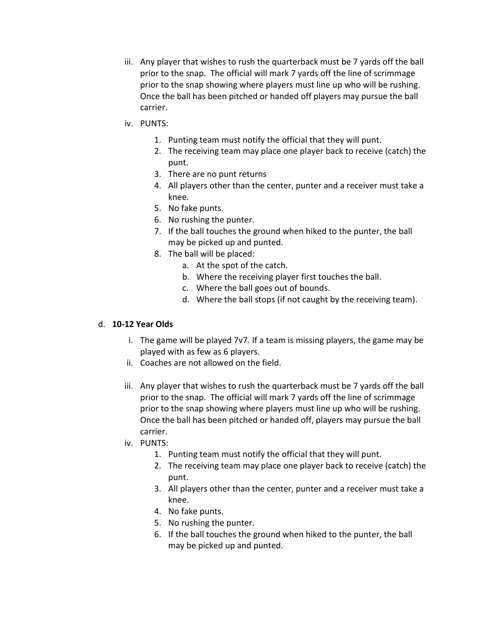- iii. Any player that wishes to rush the quarterback must be 7 yards off the ball prior to the snap. The official will mark 7 yards off the line of scrimmage prior to the snap showing where players must line up who will be rushing. Once the ball has been pitched or handed off players may pursue the ball carrier.
- iv. PUNTS:
	- 1. Punting team must notify the official that they will punt.
	- 2. The receiving team may place one player back to receive (catch) the punt.
	- 3. There are no punt returns
	- 4. All players other than the center, punter and a receiver must take a knee.
	- 5. No fake punts.
	- 6. No rushing the punter.
	- 7. If the ball touches the ground when hiked to the punter, the ball may be picked up and punted.
	- 8. The ball will be placed:
		- a. At the spot of the catch.
		- b. Where the receiving player first touches the ball.
		- c. Where the ball goes out of bounds.
		- d. Where the ball stops (if not caught by the receiving team).

#### d. **10-12 Year Olds**

- i. The game will be played 7v7. If a team is missing players, the game may be played with as few as 6 players.
- ii. Coaches are not allowed on the field.
- iii. Any player that wishes to rush the quarterback must be 7 yards off the ball prior to the snap. The official will mark 7 yards off the line of scrimmage prior to the snap showing where players must line up who will be rushing. Once the ball has been pitched or handed off, players may pursue the ball carrier.
- iv. PUNTS:
	- 1. Punting team must notify the official that they will punt.
	- 2. The receiving team may place one player back to receive (catch) the punt.
	- 3. All players other than the center, punter and a receiver must take a knee.
	- 4. No fake punts.
	- 5. No rushing the punter.
	- 6. If the ball touches the ground when hiked to the punter, the ball may be picked up and punted.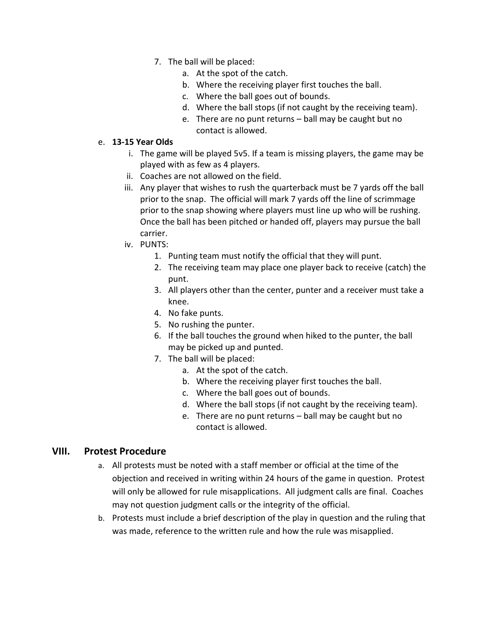- 7. The ball will be placed:
	- a. At the spot of the catch.
	- b. Where the receiving player first touches the ball.
	- c. Where the ball goes out of bounds.
	- d. Where the ball stops (if not caught by the receiving team).
	- e. There are no punt returns ball may be caught but no contact is allowed.

#### e. **13-15 Year Olds**

- i. The game will be played 5v5. If a team is missing players, the game may be played with as few as 4 players.
- ii. Coaches are not allowed on the field.
- iii. Any player that wishes to rush the quarterback must be 7 yards off the ball prior to the snap. The official will mark 7 yards off the line of scrimmage prior to the snap showing where players must line up who will be rushing. Once the ball has been pitched or handed off, players may pursue the ball carrier.
- iv. PUNTS:
	- 1. Punting team must notify the official that they will punt.
	- 2. The receiving team may place one player back to receive (catch) the punt.
	- 3. All players other than the center, punter and a receiver must take a knee.
	- 4. No fake punts.
	- 5. No rushing the punter.
	- 6. If the ball touches the ground when hiked to the punter, the ball may be picked up and punted.
	- 7. The ball will be placed:
		- a. At the spot of the catch.
		- b. Where the receiving player first touches the ball.
		- c. Where the ball goes out of bounds.
		- d. Where the ball stops (if not caught by the receiving team).
		- e. There are no punt returns ball may be caught but no contact is allowed.

# **VIII. Protest Procedure**

- a. All protests must be noted with a staff member or official at the time of the objection and received in writing within 24 hours of the game in question. Protest will only be allowed for rule misapplications. All judgment calls are final. Coaches may not question judgment calls or the integrity of the official.
- b. Protests must include a brief description of the play in question and the ruling that was made, reference to the written rule and how the rule was misapplied.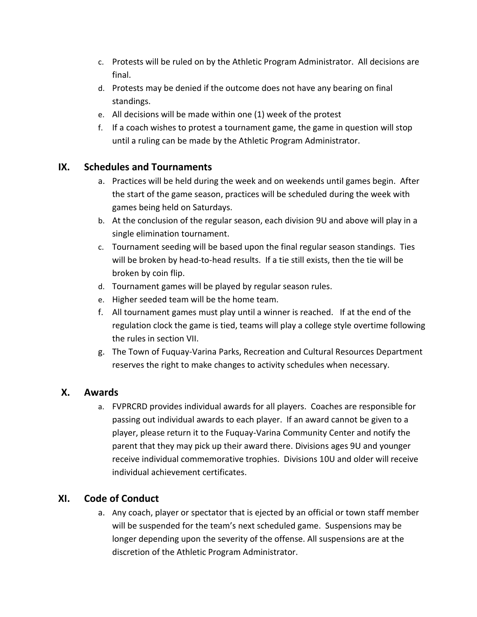- c. Protests will be ruled on by the Athletic Program Administrator. All decisions are final.
- d. Protests may be denied if the outcome does not have any bearing on final standings.
- e. All decisions will be made within one (1) week of the protest
- f. If a coach wishes to protest a tournament game, the game in question will stop until a ruling can be made by the Athletic Program Administrator.

# **IX. Schedules and Tournaments**

- a. Practices will be held during the week and on weekends until games begin. After the start of the game season, practices will be scheduled during the week with games being held on Saturdays.
- b. At the conclusion of the regular season, each division 9U and above will play in a single elimination tournament.
- c. Tournament seeding will be based upon the final regular season standings. Ties will be broken by head-to-head results. If a tie still exists, then the tie will be broken by coin flip.
- d. Tournament games will be played by regular season rules.
- e. Higher seeded team will be the home team.
- f. All tournament games must play until a winner is reached. If at the end of the regulation clock the game is tied, teams will play a college style overtime following the rules in section VII.
- g. The Town of Fuquay-Varina Parks, Recreation and Cultural Resources Department reserves the right to make changes to activity schedules when necessary.

# **X. Awards**

a. FVPRCRD provides individual awards for all players. Coaches are responsible for passing out individual awards to each player. If an award cannot be given to a player, please return it to the Fuquay-Varina Community Center and notify the parent that they may pick up their award there. Divisions ages 9U and younger receive individual commemorative trophies. Divisions 10U and older will receive individual achievement certificates.

# **XI. Code of Conduct**

a. Any coach, player or spectator that is ejected by an official or town staff member will be suspended for the team's next scheduled game. Suspensions may be longer depending upon the severity of the offense. All suspensions are at the discretion of the Athletic Program Administrator.